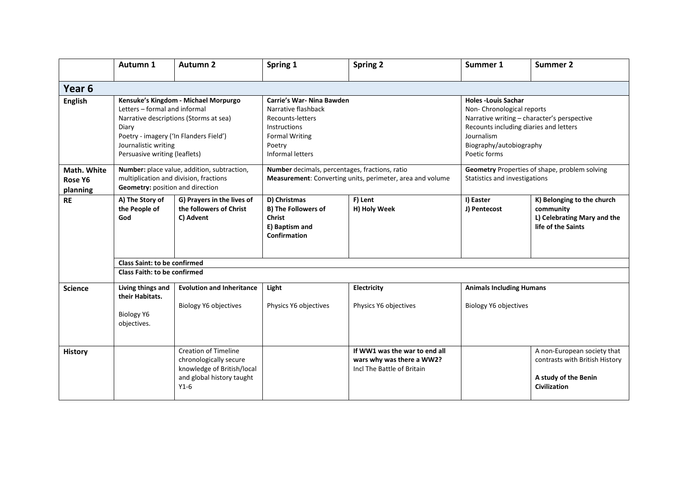|                                    | Autumn 1                                                                                                                                                                                                                    | <b>Autumn 2</b>                                                                                                            | Spring 1                                                                                                                                           | <b>Spring 2</b>                                                                          | Summer 1                                                                                                                                                                                                  | <b>Summer 2</b>                                                                                       |  |  |  |  |
|------------------------------------|-----------------------------------------------------------------------------------------------------------------------------------------------------------------------------------------------------------------------------|----------------------------------------------------------------------------------------------------------------------------|----------------------------------------------------------------------------------------------------------------------------------------------------|------------------------------------------------------------------------------------------|-----------------------------------------------------------------------------------------------------------------------------------------------------------------------------------------------------------|-------------------------------------------------------------------------------------------------------|--|--|--|--|
| Year <sub>6</sub>                  |                                                                                                                                                                                                                             |                                                                                                                            |                                                                                                                                                    |                                                                                          |                                                                                                                                                                                                           |                                                                                                       |  |  |  |  |
| <b>English</b>                     | Kensuke's Kingdom - Michael Morpurgo<br>Letters - formal and informal<br>Narrative descriptions (Storms at sea)<br>Diary<br>Poetry - imagery ('In Flanders Field')<br>Journalistic writing<br>Persuasive writing (leaflets) |                                                                                                                            | Carrie's War- Nina Bawden<br>Narrative flashback<br>Recounts-letters<br>Instructions<br><b>Formal Writing</b><br>Poetry<br><b>Informal letters</b> |                                                                                          | <b>Holes -Louis Sachar</b><br>Non-Chronological reports<br>Narrative writing - character's perspective<br>Recounts including diaries and letters<br>Journalism<br>Biography/autobiography<br>Poetic forms |                                                                                                       |  |  |  |  |
| Math. White<br>Rose Y6<br>planning | Number: place value, addition, subtraction,<br>multiplication and division, fractions<br>Geometry: position and direction                                                                                                   |                                                                                                                            | Number decimals, percentages, fractions, ratio<br>Measurement: Converting units, perimeter, area and volume                                        |                                                                                          | Geometry Properties of shape, problem solving<br>Statistics and investigations                                                                                                                            |                                                                                                       |  |  |  |  |
| <b>RE</b>                          | A) The Story of<br>the People of<br>God                                                                                                                                                                                     | G) Prayers in the lives of<br>the followers of Christ<br>C) Advent                                                         | D) Christmas<br><b>B) The Followers of</b><br><b>Christ</b><br>E) Baptism and<br>Confirmation                                                      | F) Lent<br>H) Holy Week                                                                  | I) Easter<br>J) Pentecost                                                                                                                                                                                 | K) Belonging to the church<br>community<br>L) Celebrating Mary and the<br>life of the Saints          |  |  |  |  |
|                                    | <b>Class Saint: to be confirmed</b>                                                                                                                                                                                         |                                                                                                                            |                                                                                                                                                    |                                                                                          |                                                                                                                                                                                                           |                                                                                                       |  |  |  |  |
|                                    | <b>Class Faith: to be confirmed</b>                                                                                                                                                                                         |                                                                                                                            |                                                                                                                                                    |                                                                                          |                                                                                                                                                                                                           |                                                                                                       |  |  |  |  |
| <b>Science</b>                     | Living things and<br>their Habitats.<br><b>Biology Y6</b><br>objectives.                                                                                                                                                    | <b>Evolution and Inheritance</b><br>Biology Y6 objectives                                                                  | Light<br>Physics Y6 objectives                                                                                                                     | Electricity<br>Physics Y6 objectives                                                     | <b>Animals Including Humans</b><br><b>Biology Y6 objectives</b>                                                                                                                                           |                                                                                                       |  |  |  |  |
| <b>History</b>                     |                                                                                                                                                                                                                             | <b>Creation of Timeline</b><br>chronologically secure<br>knowledge of British/local<br>and global history taught<br>$Y1-6$ |                                                                                                                                                    | If WW1 was the war to end all<br>wars why was there a WW2?<br>Incl The Battle of Britain |                                                                                                                                                                                                           | A non-European society that<br>contrasts with British History<br>A study of the Benin<br>Civilization |  |  |  |  |